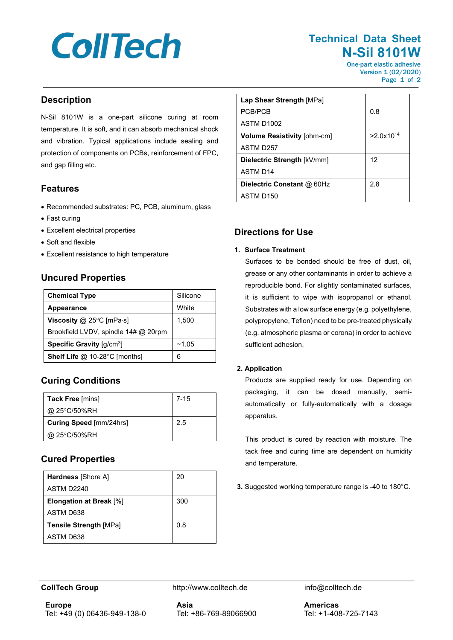# **CollTech**

## **Technical Data Sheet N-Sil 8101W**

One-part elastic adhesive Version 1 (02/2020) Page 1 of 2

#### **Description**

N-Sil 8101W is a one-part silicone curing at room temperature. It is soft, and it can absorb mechanical shock and vibration. Typical applications include sealing and protection of components on PCBs, reinforcement of FPC, and gap filling etc.

#### **Features**

- Recommended substrates: PC, PCB, aluminum, glass
- Fast curing
- Excellent electrical properties
- Soft and flexible
- Excellent resistance to high temperature

#### **Uncured Properties**

| <b>Chemical Type</b>                                  | Silicone |
|-------------------------------------------------------|----------|
| Appearance                                            | White    |
| Viscosity $@$ 25°C [mPa $\cdot$ s]                    | 1,500    |
| Brookfield LVDV, spindle 14# @ 20rpm                  |          |
| <b>Specific Gravity</b> $\left[\frac{q}{cm^3}\right]$ | ~1.05    |
| <b>Shelf Life @ 10-28°C [months]</b>                  | 6        |

## **Curing Conditions**

| Tack Free [mins]        | $7 - 15$ |
|-------------------------|----------|
| @ 25°C/50%RH            |          |
| Curing Speed [mm/24hrs] | 2.5      |
| @ 25°C/50%RH            |          |

## **Cured Properties**

| <b>Hardness</b> [Shore A]      | 20  |
|--------------------------------|-----|
| ASTM D2240                     |     |
| <b>Elongation at Break [%]</b> | 300 |
| ASTM D638                      |     |
| <b>Tensile Strength [MPa]</b>  | 0.8 |
| ASTM D638                      |     |

| Lap Shear Strength [MPa]           |                |
|------------------------------------|----------------|
| PCB/PCB                            | 0.8            |
| ASTM D1002                         |                |
| <b>Volume Resistivity [ohm-cm]</b> | $>2.0x10^{14}$ |
| ASTM D257                          |                |
| Dielectric Strength [kV/mm]        | 12             |
| <b>ASTM D14</b>                    |                |
| Dielectric Constant @ 60Hz         | 2.8            |
| ASTM D150                          |                |

## **Directions for Use**

#### **1. Surface Treatment**

Surfaces to be bonded should be free of dust, oil, grease or any other contaminants in order to achieve a reproducible bond. For slightly contaminated surfaces, it is sufficient to wipe with isopropanol or ethanol. Substrates with a low surface energy (e.g. polyethylene, polypropylene, Teflon) need to be pre-treated physically (e.g. atmospheric plasma or corona) in order to achieve sufficient adhesion.

#### **2. Application**

Products are supplied ready for use. Depending on packaging, it can be dosed manually, semiautomatically or fully-automatically with a dosage apparatus.

This product is cured by reaction with moisture. The tack free and curing time are dependent on humidity and temperature.

**3.** Suggested working temperature range is -40 to 180°C.